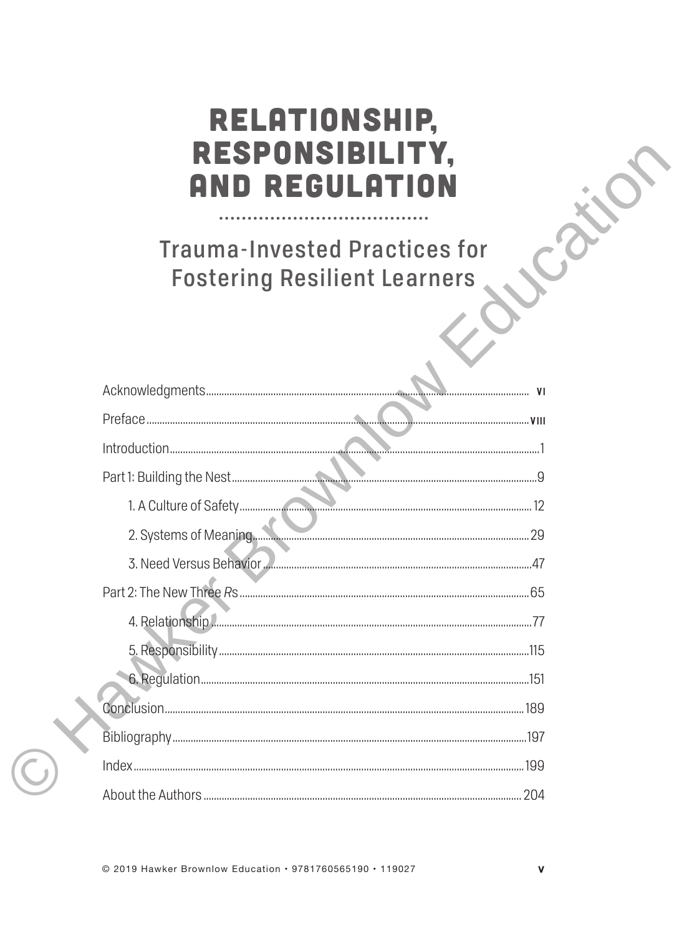## RELATIONSHIP, RESPONSIBILITY, **AND REGULATION**

**Trauma-Invested Practices for Fostering Resilient Learners** 

--------------------------

| 2. Systems of Meaning. 29 |  |
|---------------------------|--|
|                           |  |
|                           |  |
|                           |  |
|                           |  |
|                           |  |
|                           |  |
|                           |  |
|                           |  |
|                           |  |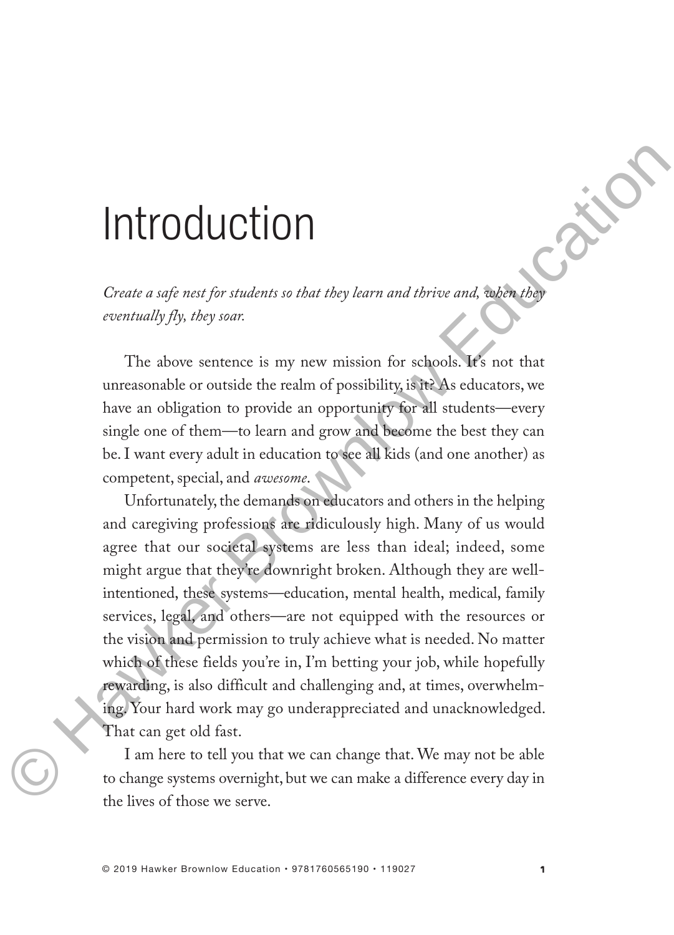# Introduction

*Create a safe nest for students so that they learn and thrive and, when they eventually fly, they soar.*

The above sentence is my new mission for schools. It's not that unreasonable or outside the realm of possibility, is it? As educators, we have an obligation to provide an opportunity for all students—every single one of them—to learn and grow and become the best they can be. I want every adult in education to see all kids (and one another) as competent, special, and *awesome*.

Unfortunately, the demands on educators and others in the helping and caregiving professions are ridiculously high. Many of us would agree that our societal systems are less than ideal; indeed, some might argue that they're downright broken. Although they are wellintentioned, these systems—education, mental health, medical, family services, legal, and others—are not equipped with the resources or the vision and permission to truly achieve what is needed. No matter which of these fields you're in, I'm betting your job, while hopefully rewarding, is also difficult and challenging and, at times, overwhelming. Your hard work may go underappreciated and unacknowledged. That can get old fast. **Propagation**<br>
Create a sign not for students so that they learn and thrive and, then the<br>
contradity fig. they sear.<br>
The above sentence is my new mission for schools. It's not that<br>
uncerscaline or outside the real m of

I am here to tell you that we can change that. We may not be able to change systems overnight, but we can make a difference every day in the lives of those we serve.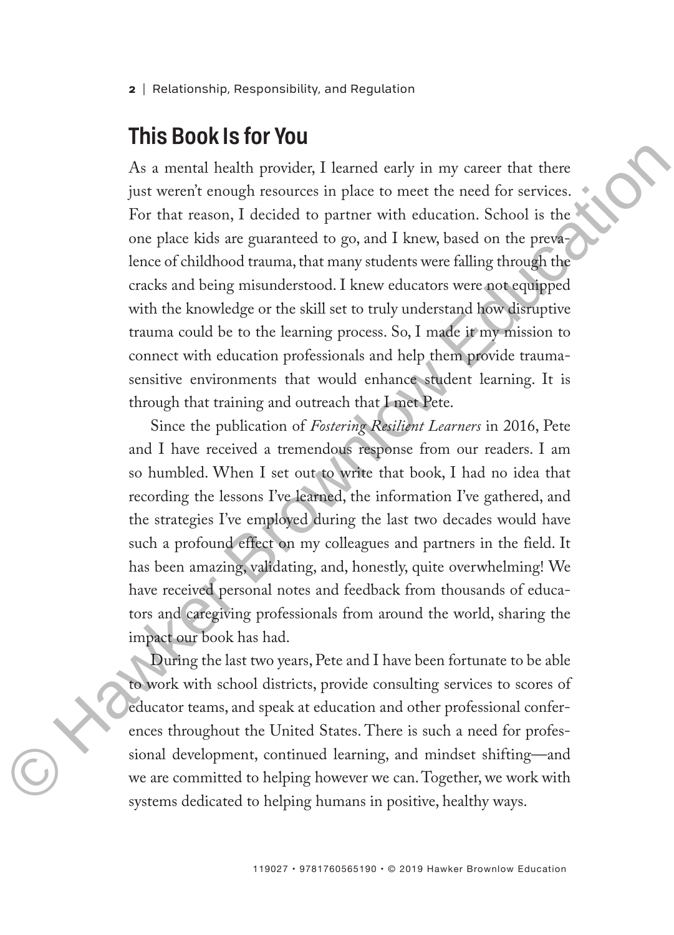**<sup>2</sup>** | Relationship, Responsibility, and Regulation

### **This Book Is for You**

As a mental health provider, I learned early in my career that there just weren't enough resources in place to meet the need for services. For that reason, I decided to partner with education. School is the one place kids are guaranteed to go, and I knew, based on the prevalence of childhood trauma, that many students were falling through the cracks and being misunderstood. I knew educators were not equipped with the knowledge or the skill set to truly understand how disruptive trauma could be to the learning process. So, I made it my mission to connect with education professionals and help them provide traumasensitive environments that would enhance student learning. It is through that training and outreach that I met Pete. As a mental health provider, I learned early in my career that there<br>
just weren't enough resources in place to meet the need for services.<br>
For that reason, I decided co partue with education. School is the<br>
one place ki

Since the publication of *Fostering Resilient Learners* in 2016, Pete and I have received a tremendous response from our readers. I am so humbled. When I set out to write that book, I had no idea that recording the lessons I've learned, the information I've gathered, and the strategies I've employed during the last two decades would have such a profound effect on my colleagues and partners in the field. It has been amazing, validating, and, honestly, quite overwhelming! We have received personal notes and feedback from thousands of educators and caregiving professionals from around the world, sharing the impact our book has had.

During the last two years, Pete and I have been fortunate to be able to work with school districts, provide consulting services to scores of educator teams, and speak at education and other professional conferences throughout the United States. There is such a need for professional development, continued learning, and mindset shifting—and we are committed to helping however we can. Together, we work with systems dedicated to helping humans in positive, healthy ways.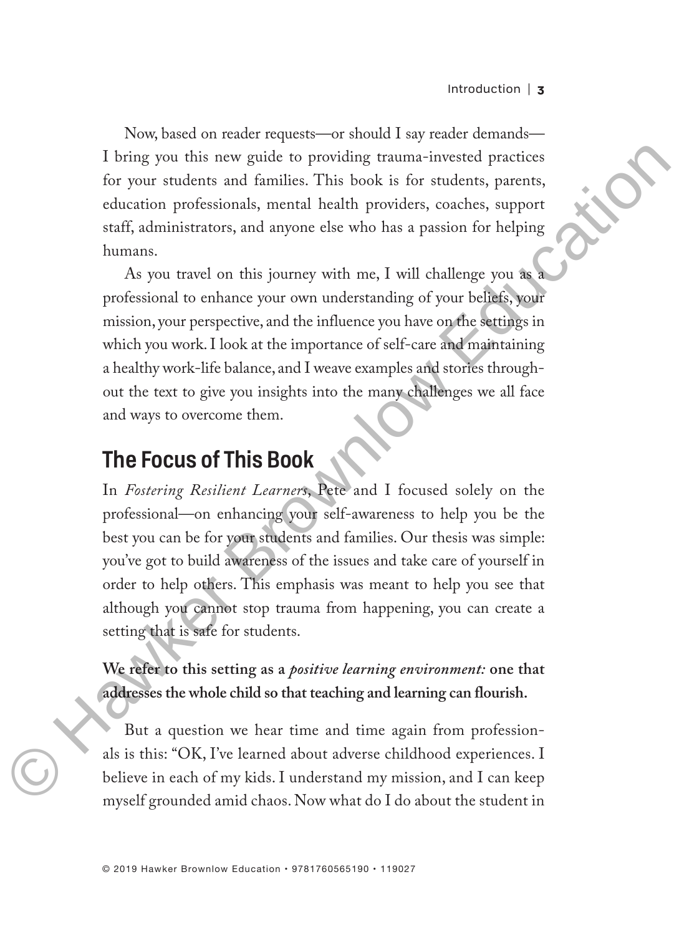Now, based on reader requests—or should I say reader demands— I bring you this new guide to providing trauma-invested practices for your students and families. This book is for students, parents, education professionals, mental health providers, coaches, support staff, administrators, and anyone else who has a passion for helping humans.

As you travel on this journey with me, I will challenge you as a professional to enhance your own understanding of your beliefs, your mission, your perspective, and the influence you have on the settings in which you work. I look at the importance of self-care and maintaining a healthy work-life balance, and I weave examples and stories throughout the text to give you insights into the many challenges we all face and ways to overcome them.

## **The Focus of This Book**

In *Fostering Resilient Learners*, Pete and I focused solely on the professional—on enhancing your self-awareness to help you be the best you can be for your students and families. Our thesis was simple: you've got to build awareness of the issues and take care of yourself in order to help others. This emphasis was meant to help you see that although you cannot stop trauma from happening, you can create a setting that is safe for students. For a point of the solution of the state of providing transmitted practices<br>of the syntra students and families. This book is for students, parents,<br>education professionals, menal health providers, coaches, support<br>estaff

**We refer to this setting as a** *positive learning environment:* **one that addresses the whole child so that teaching and learning can flourish.**

But a question we hear time and time again from professionals is this: "OK, I've learned about adverse childhood experiences. I believe in each of my kids. I understand my mission, and I can keep myself grounded amid chaos. Now what do I do about the student in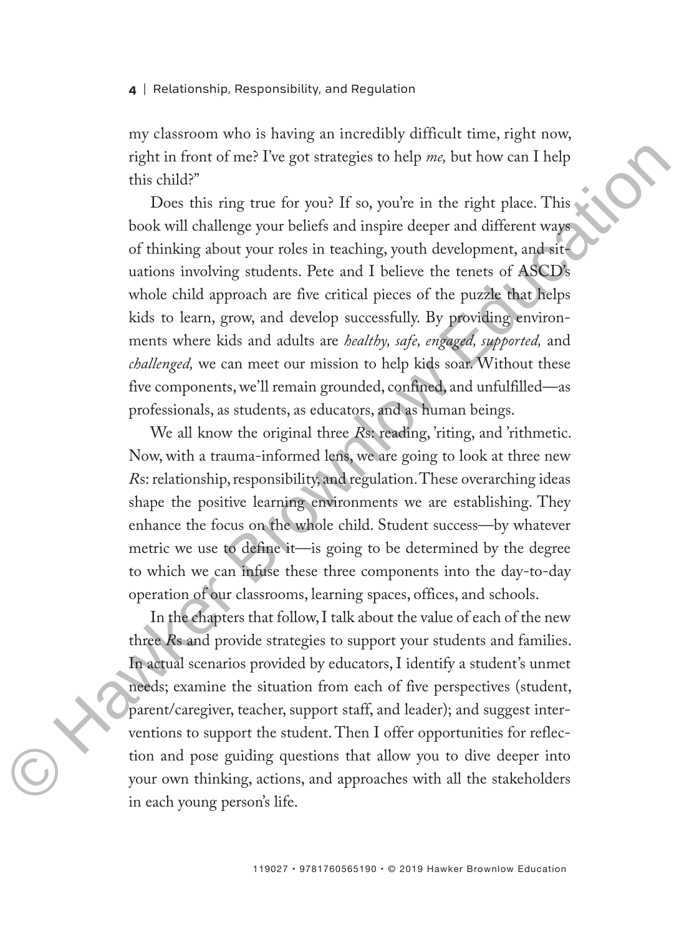#### **4** | Relationship, Responsibility, and Regulation

my classroom who is having an incredibly difficult time, right now, right in front of me? I've got strategies to help *me,* but how can I help this child?"

Does this ring true for you? If so, you're in the right place. This book will challenge your beliefs and inspire deeper and different ways of thinking about your roles in teaching, youth development, and situations involving students. Pete and I believe the tenets of ASCD's whole child approach are five critical pieces of the puzzle that helps kids to learn, grow, and develop successfully. By providing environments where kids and adults are *healthy, safe, engaged, supported,* and *challenged,* we can meet our mission to help kids soar. Without these five components, we'll remain grounded, confined, and unfulfilled—as professionals, as students, as educators, and as human beings. right in front of me? I've got strategies to help *me*, but how can I help<br>this child?"<br>Does this ring true for you? If so, you're in the right place. This<br>book will challenge your beliefs and inspire deeper and different

We all know the original three *Rs*: reading, 'riting, and 'rithmetic. Now, with a trauma-informed lens, we are going to look at three new *R*s: relationship, responsibility, and regulation. These overarching ideas shape the positive learning environments we are establishing. They enhance the focus on the whole child. Student success—by whatever metric we use to define it—is going to be determined by the degree to which we can infuse these three components into the day-to-day operation of our classrooms, learning spaces, offices, and schools.

In the chapters that follow, I talk about the value of each of the new three *R*s and provide strategies to support your students and families. In actual scenarios provided by educators, I identify a student's unmet needs; examine the situation from each of five perspectives (student, parent/caregiver, teacher, support staff, and leader); and suggest interventions to support the student. Then I offer opportunities for reflection and pose guiding questions that allow you to dive deeper into your own thinking, actions, and approaches with all the stakeholders in each young person's life.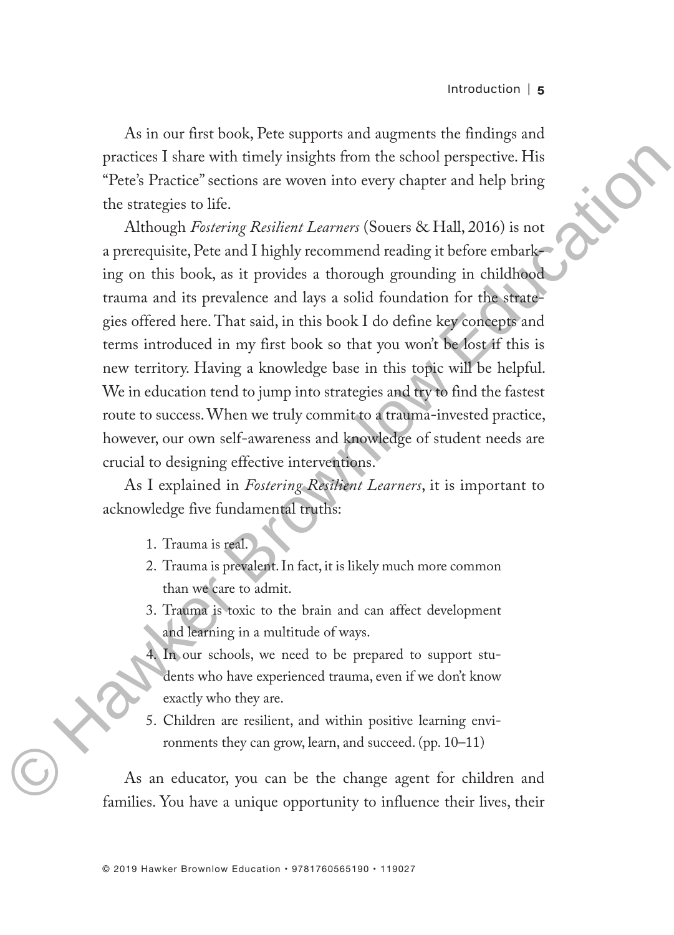As in our first book, Pete supports and augments the findings and practices I share with timely insights from the school perspective. His "Pete's Practice" sections are woven into every chapter and help bring the strategies to life.

Although *Fostering Resilient Learners* (Souers & Hall, 2016) is not a prerequisite, Pete and I highly recommend reading it before embarking on this book, as it provides a thorough grounding in childhood trauma and its prevalence and lays a solid foundation for the strategies offered here. That said, in this book I do define key concepts and terms introduced in my first book so that you won't be lost if this is new territory. Having a knowledge base in this topic will be helpful. We in education tend to jump into strategies and try to find the fastest route to success. When we truly commit to a trauma-invested practice, however, our own self-awareness and knowledge of student needs are crucial to designing effective interventions. practices I share with timely insights from the school perspective. His<br>
Pete Stractice' sections are woven into every chapter and help bring<br>
the strategies to life.<br>
Although *Foulteing Rosilient Learner* (Souers & Hall

As I explained in *Fostering Resilient Learners*, it is important to acknowledge five fundamental truths:

- 1. Trauma is real.
- 2. Trauma is prevalent. In fact, it is likely much more common than we care to admit.
- 3. Trauma is toxic to the brain and can affect development and learning in a multitude of ways.
- 4. In our schools, we need to be prepared to support students who have experienced trauma, even if we don't know exactly who they are.
- 5. Children are resilient, and within positive learning environments they can grow, learn, and succeed. (pp. 10–11)

As an educator, you can be the change agent for children and families. You have a unique opportunity to influence their lives, their